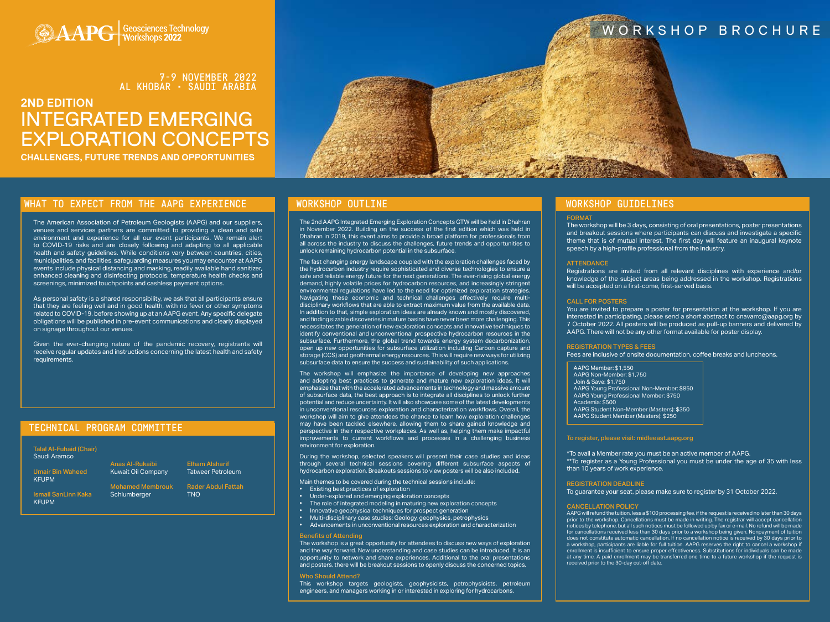# WORKSHOP BROCHURE

# **2ND EDITION** INTEGRATED EMERGING EXPLORATION CONCEPTS

**CHALLENGES, FUTURE TRENDS AND OPPORTUNITIES**



# WHAT TO EXPECT FROM THE AAPG EXPERIENCE NORKSHOP OUTLINE

# TECHNICAL PROGRAM COMMITTEE

Talal Al-Fuhaid (Chair) Saudi Aramco

Umair Bin Waheed KFUPM

Ismail SanLinn Kaka KFUPM

Anas Al-Rukaibi

Schlumberger

Kuwait Oil Company Mohamed Membrouk

Elham Alsharif Tatweer Petroleum

> Rader Abdul Fattah TNO

The American Association of Petroleum Geologists (AAPG) and our suppliers, venues and services partners are committed to providing a clean and safe environment and experience for all our event participants. We remain alert to COVID-19 risks and are closely following and adapting to all applicable health and safety guidelines. While conditions vary between countries, cities, municipalities, and facilities, safeguarding measures you may encounter at AAPG events include physical distancing and masking, readily available hand sanitizer, enhanced cleaning and disinfecting protocols, temperature health checks and screenings, minimized touchpoints and cashless payment options.

As personal safety is a shared responsibility, we ask that all participants ensure that they are feeling well and in good health, with no fever or other symptoms related to COVID-19, before showing up at an AAPG event. Any specific delegate obligations will be published in pre-event communications and clearly displayed on signage throughout our venues.

Given the ever-changing nature of the pandemic recovery, registrants will receive regular updates and instructions concerning the latest health and safety requirements.

The 2nd AAPG Integrated Emerging Exploration Concepts GTW will be held in Dhahran in November 2022. Building on the success of the first edition which was held in Dhahran in 2019, this event aims to provide a broad platform for professionals from all across the industry to discuss the challenges, future trends and opportunities to unlock remaining hydrocarbon potential in the subsurface.

The fast changing energy landscape coupled with the exploration challenges faced by the hydrocarbon industry require sophisticated and diverse technologies to ensure a safe and reliable energy future for the next generations. The ever-rising global energy demand, highly volatile prices for hydrocarbon resources, and increasingly stringent environmental regulations have led to the need for optimized exploration strategies. Navigating these economic and technical challenges effectively require multidisciplinary workflows that are able to extract maximum value from the available data. In addition to that, simple exploration ideas are already known and mostly discovered, and finding sizable discoveries in mature basins have never been more challenging. This necessitates the generation of new exploration concepts and innovative techniques to identify conventional and unconventional prospective hydrocarbon resources in the subsurface. Furthermore, the global trend towards energy system decarbonization, open up new opportunities for subsurface utilization including Carbon capture and storage (CCS) and geothermal energy resources. This will require new ways for utilizing subsurface data to ensure the success and sustainability of such applications.

The workshop will emphasize the importance of developing new approaches and adopting best practices to generate and mature new exploration ideas. It will emphasize that with the accelerated advancements in technology and massive amount of subsurface data, the best approach is to integrate all disciplines to unlock further potential and reduce uncertainty. It will also showcase some of the latest developments in unconventional resources exploration and characterization workflows. Overall, the workshop will aim to give attendees the chance to learn how exploration challenges may have been tackled elsewhere, allowing them to share gained knowledge and perspective in their respective workplaces. As well as, helping them make impactful improvements to current workflows and processes in a challenging business environment for exploration.

During the workshop, selected speakers will present their case studies and ideas through several technical sessions covering different subsurface aspects of hydrocarbon exploration. Breakouts sessions to view posters will be also included.

Main themes to be covered during the technical sessions include:

- Existing best practices of exploration
- Under-explored and emerging exploration concepts
- The role of integrated modeling in maturing new exploration concepts
- Innovative geophysical techniques for prospect generation
- $m$ iary case studies. Geology, geophysics, petrophysics
- Advancements in unconventional resources exploration and characterization

### Benefits of Attending

The workshop is a great opportunity for attendees to discuss new ways of exploration and the way forward. New understanding and case studies can be introduced. It is an opportunity to network and share experiences. Additional to the oral presentations and posters, there will be breakout sessions to openly discuss the concerned topics.

#### Who Should Attend?

This workshop targets geologists, geophysicists, petrophysicists, petroleum engineers, and managers working in or interested in exploring for hydrocarbons.

### FORMAT

The workshop will be 3 days, consisting of oral presentations, poster presentations and breakout sessions where participants can discuss and investigate a specific theme that is of mutual interest. The first day will feature an inaugural keynote speech by a high-profile professional from the industry.

#### **ATTENDANCE**

Registrations are invited from all relevant disciplines with experience and/or knowledge of the subject areas being addressed in the workshop. Registrations will be accepted on a first-come, first-served basis.

### CALL FOR POSTERS

You are invited to prepare a poster for presentation at the workshop. If you are interested in participating, please send a short abstract to cnavarro@aapg.org by 7 October 2022. All posters will be produced as pull-up banners and delivered by AAPG. There will not be any other format available for poster display.

#### REGISTRATION TYPES & FEES

Fees are inclusive of onsite documentation, coffee breaks and luncheons.

#### [To register, please visit: midleeast.aapg.org](https://www.aapg.org/global/middleeast/events/workshop/articleid/57290/geological-process-based-forward-modeling#149242235-registration)

\*To avail a Member rate you must be an active member of AAPG. \*\*To register as a Young Professional you must be under the age of 35 with less than 10 years of work experience.

#### REGISTRATION DEADLINE

To guarantee your seat, please make sure to register by 31 October 2022.

#### CANCELLATION POLICY

AAPG will refund the tuition, less a \$100 processing fee, if the request is received no later than 30 days prior to the workshop. Cancellations must be made in writing. The registrar will accept cancellation notices by telephone, but all such notices must be followed up by fax or e-mail. No refund will be made for cancellations received less than 30 days prior to a workshop being given. Nonpayment of tuition does not constitute automatic cancellation. If no cancellation notice is received by 30 days prior to a workshop, participants are liable for full tuition. AAPG reserves the right to cancel a workshop if enrollment is insufficient to ensure proper effectiveness. Substitutions for individuals can be made at any time. A paid enrollment may be transferred one time to a future workshop if the request is received prior to the 30-day cut-off date.

# WORKSHOP GUIDELINES

AAPG Member: \$1,550 AAPG Non-Member: \$1,750 Join & Save: \$1,750 AAPG Young Professional Non-Member: \$850 AAPG Young Professional Member: \$750 Academia: \$500 AAPG Student Non-Member (Masters): \$350 AAPG Student Member (Masters): \$250

A DO Geosciences Technology

# 7-9 NOVEMBER 2022 AL KHOBAR • SAUDI ARABIA